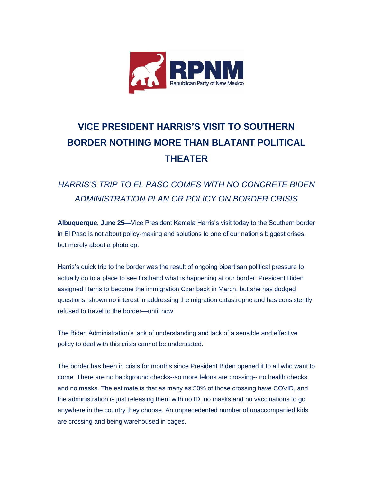

## **VICE PRESIDENT HARRIS'S VISIT TO SOUTHERN BORDER NOTHING MORE THAN BLATANT POLITICAL THEATER**

## *HARRIS'S TRIP TO EL PASO COMES WITH NO CONCRETE BIDEN ADMINISTRATION PLAN OR POLICY ON BORDER CRISIS*

**Albuquerque, June 25—**Vice President Kamala Harris's visit today to the Southern border in El Paso is not about policy-making and solutions to one of our nation's biggest crises, but merely about a photo op.

Harris's quick trip to the border was the result of ongoing bipartisan political pressure to actually go to a place to see firsthand what is happening at our border. President Biden assigned Harris to become the immigration Czar back in March, but she has dodged questions, shown no interest in addressing the migration catastrophe and has consistently refused to travel to the border—until now.

The Biden Administration's lack of understanding and lack of a sensible and effective policy to deal with this crisis cannot be understated.

The border has been in crisis for months since President Biden opened it to all who want to come. There are no background checks--so more felons are crossing-- no health checks and no masks. The estimate is that as many as 50% of those crossing have COVID, and the administration is just releasing them with no ID, no masks and no vaccinations to go anywhere in the country they choose. An unprecedented number of unaccompanied kids are crossing and being warehoused in cages.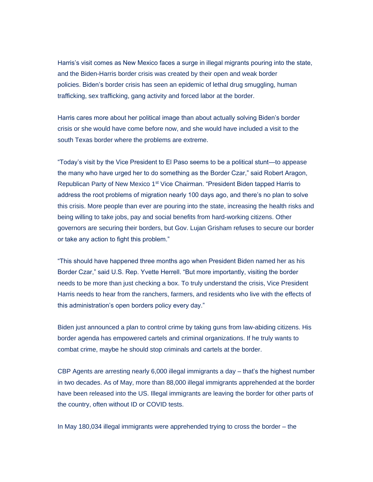Harris's visit comes as New Mexico faces a surge in illegal migrants pouring into the state, and the Biden-Harris border crisis was created by their open and weak border policies. Biden's border crisis has seen an epidemic of lethal drug smuggling, human trafficking, sex trafficking, gang activity and forced labor at the border.

Harris cares more about her political image than about actually solving Biden's border crisis or she would have come before now, and she would have included a visit to the south Texas border where the problems are extreme.

"Today's visit by the Vice President to El Paso seems to be a political stunt—to appease the many who have urged her to do something as the Border Czar," said Robert Aragon, Republican Party of New Mexico 1<sup>st</sup> Vice Chairman. "President Biden tapped Harris to address the root problems of migration nearly 100 days ago, and there's no plan to solve this crisis. More people than ever are pouring into the state, increasing the health risks and being willing to take jobs, pay and social benefits from hard-working citizens. Other governors are securing their borders, but Gov. Lujan Grisham refuses to secure our border or take any action to fight this problem."

"This should have happened three months ago when President Biden named her as his Border Czar," said U.S. Rep. Yvette Herrell. "But more importantly, visiting the border needs to be more than just checking a box. To truly understand the crisis, Vice President Harris needs to hear from the ranchers, farmers, and residents who live with the effects of this administration's open borders policy every day."

Biden just announced a plan to control crime by taking guns from law-abiding citizens. His border agenda has empowered cartels and criminal organizations. If he truly wants to combat crime, maybe he should stop criminals and cartels at the border.

CBP Agents are arresting nearly 6,000 illegal immigrants a day – that's the highest number in two decades. As of May, more than 88,000 illegal immigrants apprehended at the border have been released into the US. Illegal immigrants are leaving the border for other parts of the country, often without ID or COVID tests.

In May 180,034 illegal immigrants were apprehended trying to cross the border – the